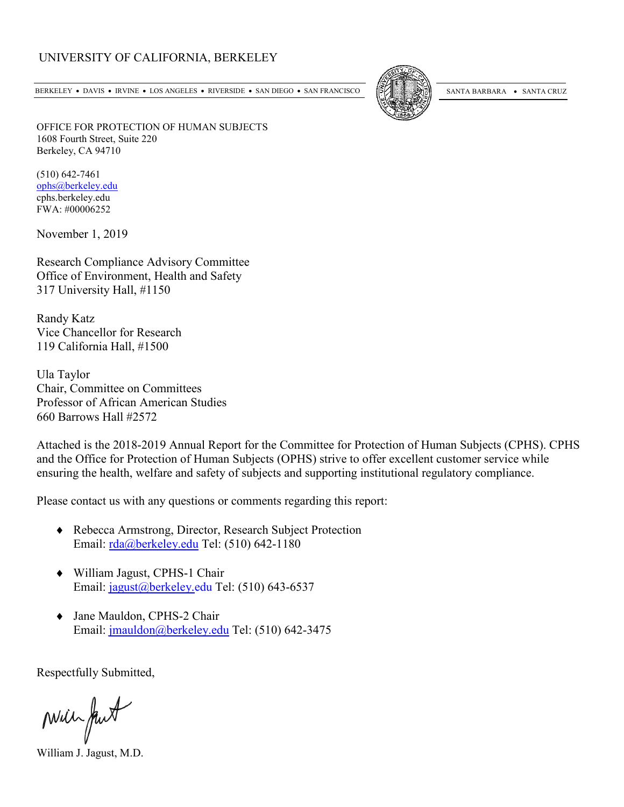#### UNIVERSITY OF CALIFORNIA, BERKELEY

BERKELEY • DAVIS • IRVINE • LOS ANGELES • RIVERSIDE • SAN DIEGO • SAN FRANCISCO [50] SANTA BARBARA • SANTA CRUZ



OFFICE FOR PROTECTION OF HUMAN SUBJECTS 1608 Fourth Street, Suite 220 Berkeley, CA 94710

(510) 642-7461 [ophs@berkeley.edu](mailto:ophs@berkeley.edu) cphs.berkeley.edu FWA: #00006252

November 1, 2019

Research Compliance Advisory Committee Office of Environment, Health and Safety 317 University Hall, #1150

Randy Katz Vice Chancellor for Research 119 California Hall, #1500

Ula Taylor Chair, Committee on Committees Professor of African American Studies 660 Barrows Hall #2572

Attached is the 2018-2019 Annual Report for the Committee for Protection of Human Subjects (CPHS). CPHS and the Office for Protection of Human Subjects (OPHS) strive to offer excellent customer service while ensuring the health, welfare and safety of subjects and supporting institutional regulatory compliance.

Please contact us with any questions or comments regarding this report:

- ♦ Rebecca Armstrong, Director, Research Subject Protection Email: [rda@berkeley.edu](mailto:rda@berkeley.edu) Tel: (510) 642-1180
- ♦ William Jagust, CPHS-1 Chair Email: [jagust@berkeley.edu](mailto:jagust@berkeley.edu) Tel: (510) 643-6537
- ♦ Jane Mauldon, CPHS-2 Chair Email: [jmauldon@berkeley.edu](mailto:jmauldon@berkeley.edu) Tel: (510) 642-3475

Respectfully Submitted,

Mill fut

William J. Jagust, M.D.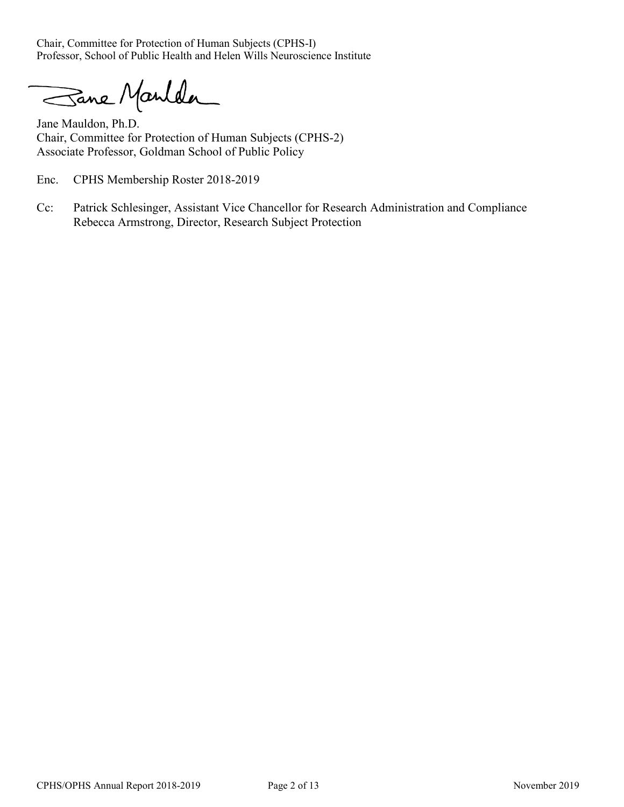Chair, Committee for Protection of Human Subjects (CPHS-I) Professor, School of Public Health and Helen Wills Neuroscience Institute

Sane Manlda

Jane Mauldon, Ph.D. Chair, Committee for Protection of Human Subjects (CPHS-2) Associate Professor, Goldman School of Public Policy

Enc. CPHS Membership Roster 2018-2019

Cc: Patrick Schlesinger, Assistant Vice Chancellor for Research Administration and Compliance Rebecca Armstrong, Director, Research Subject Protection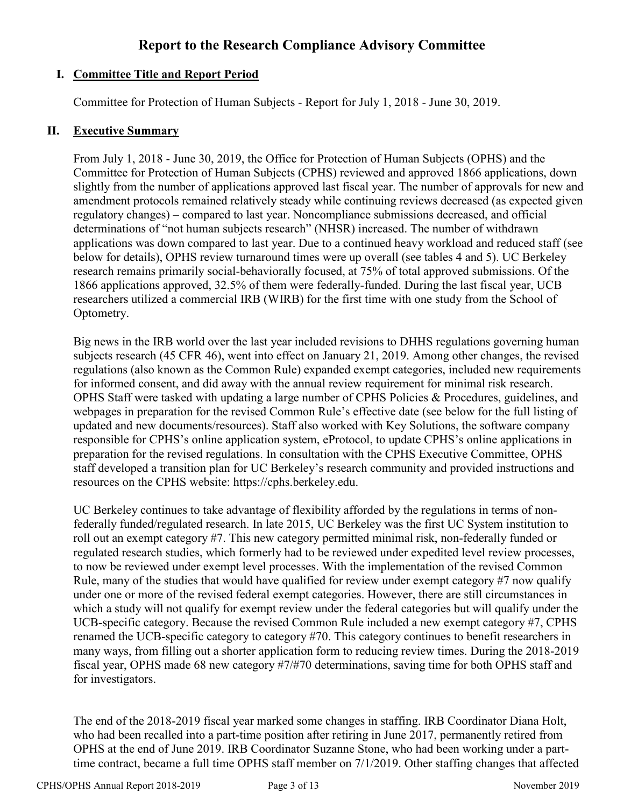# **Report to the Research Compliance Advisory Committee**

# **I. Committee Title and Report Period**

Committee for Protection of Human Subjects - Report for July 1, 2018 - June 30, 2019.

#### **II. Executive Summary**

From July 1, 2018 - June 30, 2019, the Office for Protection of Human Subjects (OPHS) and the Committee for Protection of Human Subjects (CPHS) reviewed and approved 1866 applications, down slightly from the number of applications approved last fiscal year. The number of approvals for new and amendment protocols remained relatively steady while continuing reviews decreased (as expected given regulatory changes) – compared to last year. Noncompliance submissions decreased, and official determinations of "not human subjects research" (NHSR) increased. The number of withdrawn applications was down compared to last year. Due to a continued heavy workload and reduced staff (see below for details), OPHS review turnaround times were up overall (see tables 4 and 5). UC Berkeley research remains primarily social-behaviorally focused, at 75% of total approved submissions. Of the 1866 applications approved, 32.5% of them were federally-funded. During the last fiscal year, UCB researchers utilized a commercial IRB (WIRB) for the first time with one study from the School of Optometry.

Big news in the IRB world over the last year included revisions to DHHS regulations governing human subjects research (45 CFR 46), went into effect on January 21, 2019. Among other changes, the revised regulations (also known as the Common Rule) expanded exempt categories, included new requirements for informed consent, and did away with the annual review requirement for minimal risk research. OPHS Staff were tasked with updating a large number of CPHS Policies & Procedures, guidelines, and webpages in preparation for the revised Common Rule's effective date (see below for the full listing of updated and new documents/resources). Staff also worked with Key Solutions, the software company responsible for CPHS's online application system, eProtocol, to update CPHS's online applications in preparation for the revised regulations. In consultation with the CPHS Executive Committee, OPHS staff developed a transition plan for UC Berkeley's research community and provided instructions and resources on the CPHS website: https://cphs.berkeley.edu.

UC Berkeley continues to take advantage of flexibility afforded by the regulations in terms of nonfederally funded/regulated research. In late 2015, UC Berkeley was the first UC System institution to roll out an exempt category #7. This new category permitted minimal risk, non-federally funded or regulated research studies, which formerly had to be reviewed under expedited level review processes, to now be reviewed under exempt level processes. With the implementation of the revised Common Rule, many of the studies that would have qualified for review under exempt category #7 now qualify under one or more of the revised federal exempt categories. However, there are still circumstances in which a study will not qualify for exempt review under the federal categories but will qualify under the UCB-specific category. Because the revised Common Rule included a new exempt category #7, CPHS renamed the UCB-specific category to category #70. This category continues to benefit researchers in many ways, from filling out a shorter application form to reducing review times. During the 2018-2019 fiscal year, OPHS made 68 new category #7/#70 determinations, saving time for both OPHS staff and for investigators.

The end of the 2018-2019 fiscal year marked some changes in staffing. IRB Coordinator Diana Holt, who had been recalled into a part-time position after retiring in June 2017, permanently retired from OPHS at the end of June 2019. IRB Coordinator Suzanne Stone, who had been working under a parttime contract, became a full time OPHS staff member on 7/1/2019. Other staffing changes that affected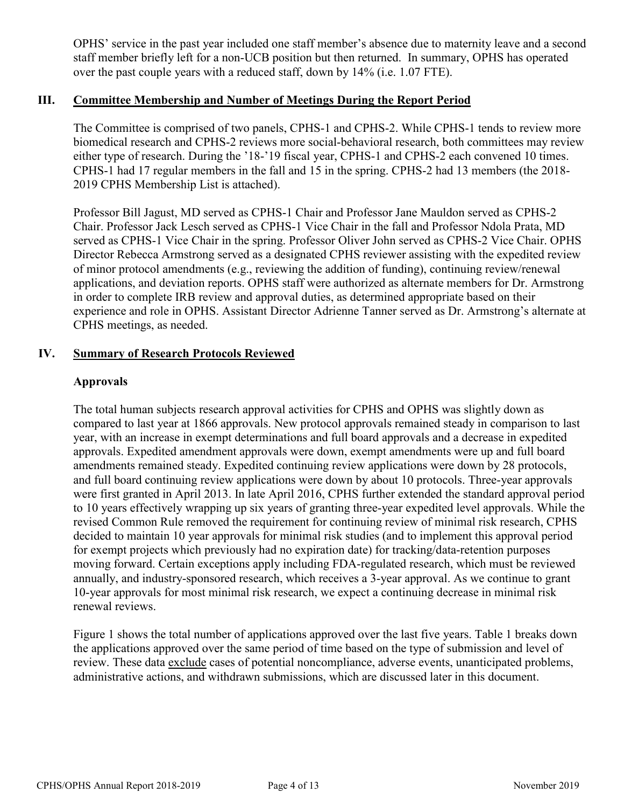OPHS' service in the past year included one staff member's absence due to maternity leave and a second staff member briefly left for a non-UCB position but then returned. In summary, OPHS has operated over the past couple years with a reduced staff, down by 14% (i.e. 1.07 FTE).

#### **III. Committee Membership and Number of Meetings During the Report Period**

The Committee is comprised of two panels, CPHS-1 and CPHS-2. While CPHS-1 tends to review more biomedical research and CPHS-2 reviews more social-behavioral research, both committees may review either type of research. During the '18-'19 fiscal year, CPHS-1 and CPHS-2 each convened 10 times. CPHS-1 had 17 regular members in the fall and 15 in the spring. CPHS-2 had 13 members (the 2018- 2019 CPHS Membership List is attached).

Professor Bill Jagust, MD served as CPHS-1 Chair and Professor Jane Mauldon served as CPHS-2 Chair. Professor Jack Lesch served as CPHS-1 Vice Chair in the fall and Professor Ndola Prata, MD served as CPHS-1 Vice Chair in the spring. Professor Oliver John served as CPHS-2 Vice Chair. OPHS Director Rebecca Armstrong served as a designated CPHS reviewer assisting with the expedited review of minor protocol amendments (e.g., reviewing the addition of funding), continuing review/renewal applications, and deviation reports. OPHS staff were authorized as alternate members for Dr. Armstrong in order to complete IRB review and approval duties, as determined appropriate based on their experience and role in OPHS. Assistant Director Adrienne Tanner served as Dr. Armstrong's alternate at CPHS meetings, as needed.

#### **IV. Summary of Research Protocols Reviewed**

#### **Approvals**

The total human subjects research approval activities for CPHS and OPHS was slightly down as compared to last year at 1866 approvals. New protocol approvals remained steady in comparison to last year, with an increase in exempt determinations and full board approvals and a decrease in expedited approvals. Expedited amendment approvals were down, exempt amendments were up and full board amendments remained steady. Expedited continuing review applications were down by 28 protocols, and full board continuing review applications were down by about 10 protocols. Three-year approvals were first granted in April 2013. In late April 2016, CPHS further extended the standard approval period to 10 years effectively wrapping up six years of granting three-year expedited level approvals. While the revised Common Rule removed the requirement for continuing review of minimal risk research, CPHS decided to maintain 10 year approvals for minimal risk studies (and to implement this approval period for exempt projects which previously had no expiration date) for tracking/data-retention purposes moving forward. Certain exceptions apply including FDA-regulated research, which must be reviewed annually, and industry-sponsored research, which receives a 3-year approval. As we continue to grant 10-year approvals for most minimal risk research, we expect a continuing decrease in minimal risk renewal reviews.

Figure 1 shows the total number of applications approved over the last five years. Table 1 breaks down the applications approved over the same period of time based on the type of submission and level of review. These data exclude cases of potential noncompliance, adverse events, unanticipated problems, administrative actions, and withdrawn submissions, which are discussed later in this document.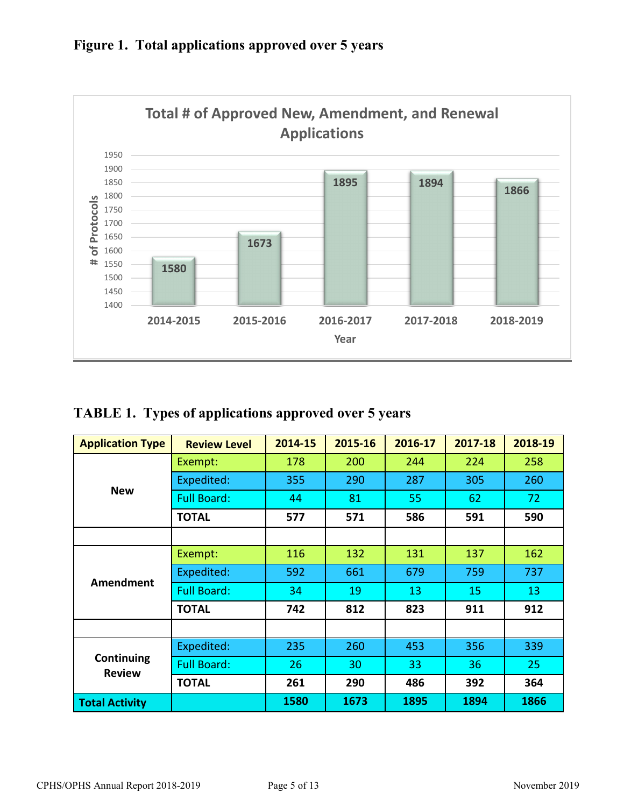

# **Figure 1. Total applications approved over 5 years**

# **TABLE 1. Types of applications approved over 5 years**

| <b>Application Type</b>     | <b>Review Level</b> | 2014-15 | 2015-16 | 2016-17 | 2017-18 | 2018-19 |
|-----------------------------|---------------------|---------|---------|---------|---------|---------|
|                             | Exempt:             | 178     | 200     | 244     | 224     | 258     |
| <b>New</b>                  | Expedited:          | 355     | 290     | 287     | 305     | 260     |
|                             | <b>Full Board:</b>  | 44      | 81      | 55      | 62      | 72      |
|                             | <b>TOTAL</b>        | 577     | 571     | 586     | 591     | 590     |
|                             |                     |         |         |         |         |         |
| Amendment                   | Exempt:             | 116     | 132     | 131     | 137     | 162     |
|                             | Expedited:          | 592     | 661     | 679     | 759     | 737     |
|                             | <b>Full Board:</b>  | 34      | 19      | 13      | 15      | 13      |
|                             | <b>TOTAL</b>        | 742     | 812     | 823     | 911     | 912     |
|                             |                     |         |         |         |         |         |
|                             | Expedited:          | 235     | 260     | 453     | 356     | 339     |
| Continuing<br><b>Review</b> | <b>Full Board:</b>  | 26      | 30      | 33      | 36      | 25      |
|                             | <b>TOTAL</b>        | 261     | 290     | 486     | 392     | 364     |
| <b>Total Activity</b>       |                     | 1580    | 1673    | 1895    | 1894    | 1866    |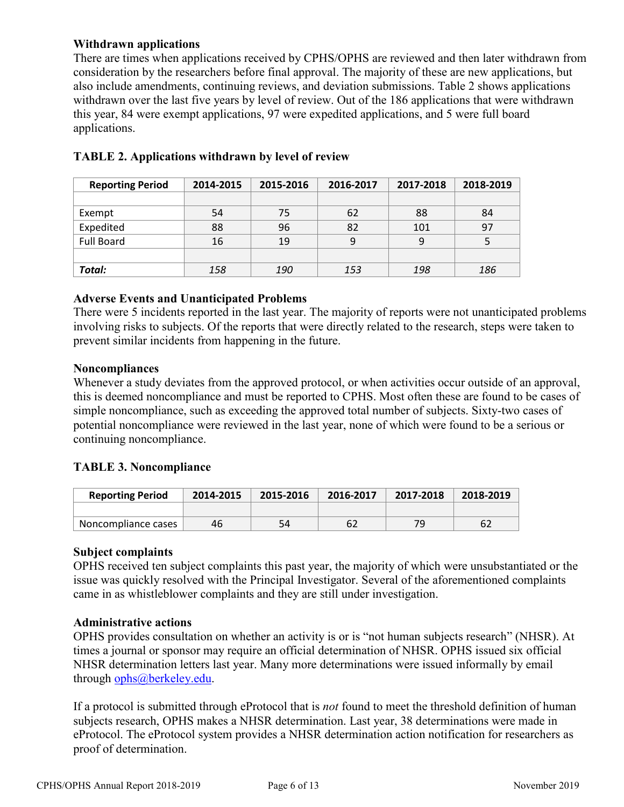#### **Withdrawn applications**

There are times when applications received by CPHS/OPHS are reviewed and then later withdrawn from consideration by the researchers before final approval. The majority of these are new applications, but also include amendments, continuing reviews, and deviation submissions. Table 2 shows applications withdrawn over the last five years by level of review. Out of the 186 applications that were withdrawn this year, 84 were exempt applications, 97 were expedited applications, and 5 were full board applications.

| <b>Reporting Period</b> | 2014-2015 | 2015-2016  | 2016-2017 | 2017-2018 | 2018-2019 |  |
|-------------------------|-----------|------------|-----------|-----------|-----------|--|
|                         |           |            |           |           |           |  |
| Exempt                  | 54        | 75         | 62        | 88        | 84        |  |
| Expedited               | 88        | 96         | 82        | 101       | 97        |  |
| <b>Full Board</b>       | 16        | 19         | 9         | 9         |           |  |
|                         |           |            |           |           |           |  |
| Total:                  | 158       | <i>190</i> | 153       | 198       | 186       |  |

## **TABLE 2. Applications withdrawn by level of review**

#### **Adverse Events and Unanticipated Problems**

There were 5 incidents reported in the last year. The majority of reports were not unanticipated problems involving risks to subjects. Of the reports that were directly related to the research, steps were taken to prevent similar incidents from happening in the future.

#### **Noncompliances**

Whenever a study deviates from the approved protocol, or when activities occur outside of an approval, this is deemed noncompliance and must be reported to CPHS. Most often these are found to be cases of simple noncompliance, such as exceeding the approved total number of subjects. Sixty-two cases of potential noncompliance were reviewed in the last year, none of which were found to be a serious or continuing noncompliance.

#### **TABLE 3. Noncompliance**

| <b>Reporting Period</b> | 2014-2015 | 2015-2016 | 2016-2017 | 2017-2018 | 2018-2019 |
|-------------------------|-----------|-----------|-----------|-----------|-----------|
|                         |           |           |           |           |           |
| Noncompliance cases     | 46        | 54        | 62        | 7۵        |           |

#### **Subject complaints**

OPHS received ten subject complaints this past year, the majority of which were unsubstantiated or the issue was quickly resolved with the Principal Investigator. Several of the aforementioned complaints came in as whistleblower complaints and they are still under investigation.

#### **Administrative actions**

OPHS provides consultation on whether an activity is or is "not human subjects research" (NHSR). At times a journal or sponsor may require an official determination of NHSR. OPHS issued six official NHSR determination letters last year. Many more determinations were issued informally by email through [ophs@berkeley.edu.](mailto:ophs@berkeley.edu)

If a protocol is submitted through eProtocol that is *not* found to meet the threshold definition of human subjects research, OPHS makes a NHSR determination. Last year, 38 determinations were made in eProtocol. The eProtocol system provides a NHSR determination action notification for researchers as proof of determination.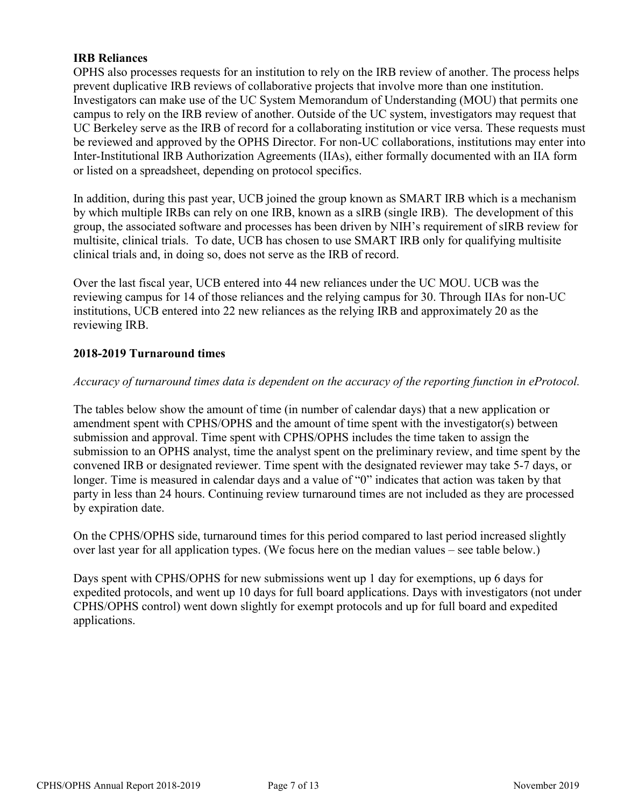#### **IRB Reliances**

OPHS also processes requests for an institution to rely on the IRB review of another. The process helps prevent duplicative IRB reviews of collaborative projects that involve more than one institution. Investigators can make use of the UC System Memorandum of Understanding (MOU) that permits one campus to rely on the IRB review of another. Outside of the UC system, investigators may request that UC Berkeley serve as the IRB of record for a collaborating institution or vice versa. These requests must be reviewed and approved by the OPHS Director. For non-UC collaborations, institutions may enter into Inter-Institutional IRB Authorization Agreements (IIAs), either formally documented with an IIA form or listed on a spreadsheet, depending on protocol specifics.

In addition, during this past year, UCB joined the group known as SMART IRB which is a mechanism by which multiple IRBs can rely on one IRB, known as a sIRB (single IRB). The development of this group, the associated software and processes has been driven by NIH's requirement of sIRB review for multisite, clinical trials. To date, UCB has chosen to use SMART IRB only for qualifying multisite clinical trials and, in doing so, does not serve as the IRB of record.

Over the last fiscal year, UCB entered into 44 new reliances under the UC MOU. UCB was the reviewing campus for 14 of those reliances and the relying campus for 30. Through IIAs for non-UC institutions, UCB entered into 22 new reliances as the relying IRB and approximately 20 as the reviewing IRB.

#### **2018-2019 Turnaround times**

#### *Accuracy of turnaround times data is dependent on the accuracy of the reporting function in eProtocol.*

The tables below show the amount of time (in number of calendar days) that a new application or amendment spent with CPHS/OPHS and the amount of time spent with the investigator(s) between submission and approval. Time spent with CPHS/OPHS includes the time taken to assign the submission to an OPHS analyst, time the analyst spent on the preliminary review, and time spent by the convened IRB or designated reviewer. Time spent with the designated reviewer may take 5-7 days, or longer. Time is measured in calendar days and a value of "0" indicates that action was taken by that party in less than 24 hours. Continuing review turnaround times are not included as they are processed by expiration date.

On the CPHS/OPHS side, turnaround times for this period compared to last period increased slightly over last year for all application types. (We focus here on the median values – see table below.)

Days spent with CPHS/OPHS for new submissions went up 1 day for exemptions, up 6 days for expedited protocols, and went up 10 days for full board applications. Days with investigators (not under CPHS/OPHS control) went down slightly for exempt protocols and up for full board and expedited applications.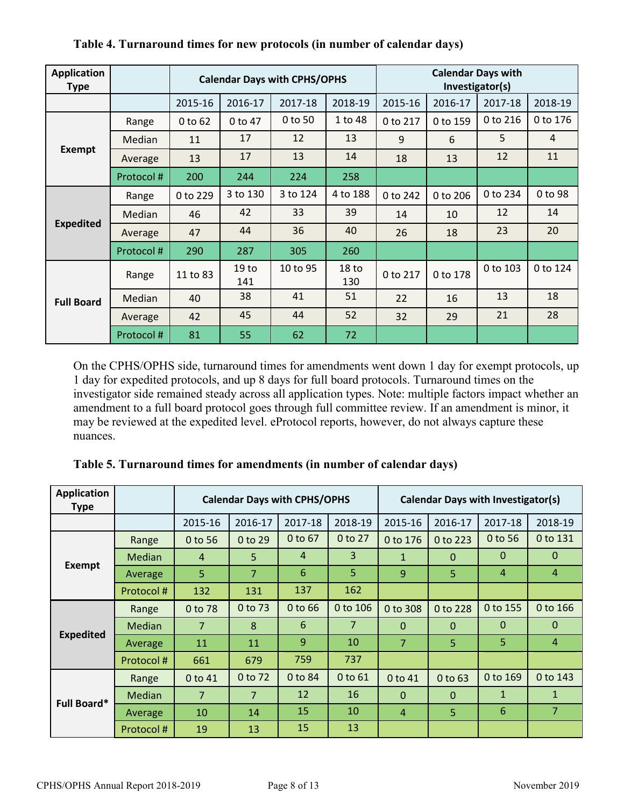| <b>Application</b><br><b>Type</b> |           | <b>Calendar Days with CPHS/OPHS</b> |                         |          |                         | <b>Calendar Days with</b><br>Investigator(s) |          |          |          |
|-----------------------------------|-----------|-------------------------------------|-------------------------|----------|-------------------------|----------------------------------------------|----------|----------|----------|
|                                   |           | 2015-16                             | 2016-17                 | 2017-18  | 2018-19                 | 2015-16                                      | 2016-17  | 2017-18  | 2018-19  |
|                                   | Range     | 0 to 62                             | 0 to 47                 | 0 to 50  | 1 to 48                 | 0 to 217                                     | 0 to 159 | 0 to 216 | 0 to 176 |
|                                   | Median    | 11                                  | 17                      | 12       | 13                      | 9                                            | 6        | 5        | 4        |
| <b>Exempt</b>                     | Average   | 13                                  | 17                      | 13       | 14                      | 18                                           | 13       | 12       | 11       |
|                                   | Protocol# | 200                                 | 244                     | 224      | 258                     |                                              |          |          |          |
|                                   | Range     | 0 to 229                            | 3 to 130                | 3 to 124 | 4 to 188                | 0 to 242                                     | 0 to 206 | 0 to 234 | 0 to 98  |
|                                   | Median    | 46                                  | 42                      | 33       | 39                      | 14                                           | 10       | 12       | 14       |
| <b>Expedited</b>                  | Average   | 47                                  | 44                      | 36       | 40                      | 26                                           | 18       | 23       | 20       |
|                                   | Protocol# | 290                                 | 287                     | 305      | 260                     |                                              |          |          |          |
| <b>Full Board</b>                 | Range     | 11 to 83                            | 19 <sub>to</sub><br>141 | 10 to 95 | 18 <sub>to</sub><br>130 | 0 to 217                                     | 0 to 178 | 0 to 103 | 0 to 124 |
|                                   | Median    | 40                                  | 38                      | 41       | 51                      | 22                                           | 16       | 13       | 18       |
|                                   | Average   | 42                                  | 45                      | 44       | 52                      | 32                                           | 29       | 21       | 28       |
|                                   | Protocol# | 81                                  | 55                      | 62       | 72                      |                                              |          |          |          |

**Table 4. Turnaround times for new protocols (in number of calendar days)**

On the CPHS/OPHS side, turnaround times for amendments went down 1 day for exempt protocols, up 1 day for expedited protocols, and up 8 days for full board protocols. Turnaround times on the investigator side remained steady across all application types. Note: multiple factors impact whether an amendment to a full board protocol goes through full committee review. If an amendment is minor, it may be reviewed at the expedited level. eProtocol reports, however, do not always capture these nuances.

| <b>Application</b><br><b>Type</b> |               | <b>Calendar Days with CPHS/OPHS</b> |                |         |                | <b>Calendar Days with Investigator(s)</b> |              |                |                |
|-----------------------------------|---------------|-------------------------------------|----------------|---------|----------------|-------------------------------------------|--------------|----------------|----------------|
|                                   |               | 2015-16                             | 2016-17        | 2017-18 | 2018-19        | 2015-16                                   | 2016-17      | 2017-18        | 2018-19        |
|                                   | Range         | 0 to 56                             | $0$ to 29      | 0 to 67 | 0 to 27        | 0 to 176                                  | 0 to 223     | 0 to 56        | 0 to 131       |
|                                   | <b>Median</b> | 4                                   | 5              | 4       | 3              | $\mathbf{1}$                              | $\mathbf{0}$ | $\mathbf{0}$   | $\Omega$       |
| <b>Exempt</b>                     | Average       | 5                                   | 7              | 6       | 5              | 9                                         | 5            | $\overline{4}$ | $\overline{4}$ |
|                                   | Protocol#     | 132                                 | 131            | 137     | 162            |                                           |              |                |                |
|                                   | Range         | 0 to 78                             | 0 to 73        | 0 to 66 | 0 to 106       | 0 to 308                                  | 0 to 228     | 0 to 155       | 0 to 166       |
|                                   | <b>Median</b> | $\overline{7}$                      | 8              | 6       | $\overline{7}$ | $\mathbf{0}$                              | $\mathbf{0}$ | $\mathbf{0}$   | $\mathbf 0$    |
| <b>Expedited</b>                  | Average       | 11                                  | 11             | 9       | 10             | 7                                         | 5            | 5              | $\overline{4}$ |
|                                   | Protocol#     | 661                                 | 679            | 759     | 737            |                                           |              |                |                |
|                                   | Range         | 0 to 41                             | 0 to 72        | 0 to 84 | 0 to 61        | 0 to 41                                   | 0 to 63      | 0 to 169       | 0 to 143       |
|                                   | <b>Median</b> | $\overline{7}$                      | $\overline{7}$ | 12      | 16             | $\Omega$                                  | $\mathbf{0}$ | $\mathbf{1}$   | $\mathbf{1}$   |
| Full Board*                       | Average       | 10                                  | 14             | 15      | 10             | $\overline{4}$                            | 5            | 6              | $\overline{7}$ |
|                                   | Protocol#     | 19                                  | 13             | 15      | 13             |                                           |              |                |                |

**Table 5. Turnaround times for amendments (in number of calendar days)**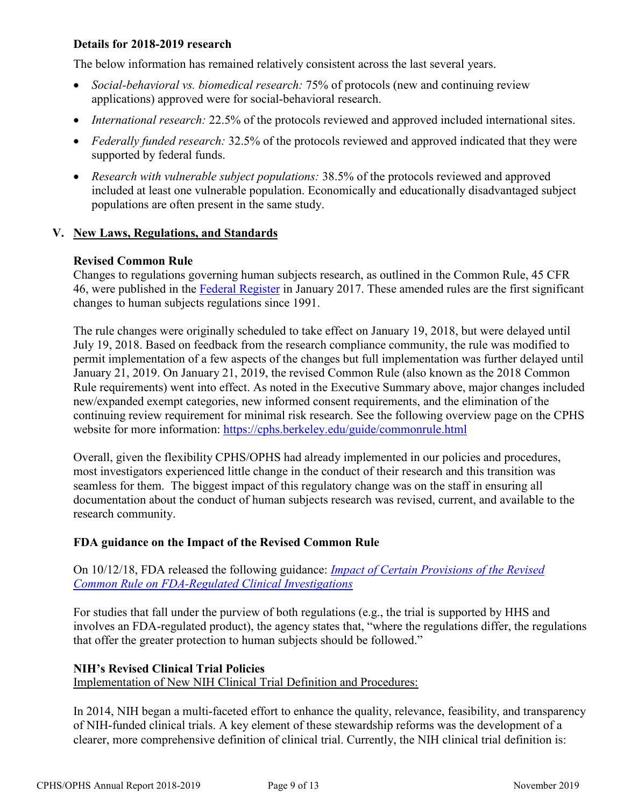#### **Details for 2018-2019 research**

The below information has remained relatively consistent across the last several years.

- *Social-behavioral vs. biomedical research:* 75% of protocols (new and continuing review applications) approved were for social-behavioral research.
- *International research:* 22.5% of the protocols reviewed and approved included international sites.
- *Federally funded research:* 32.5% of the protocols reviewed and approved indicated that they were supported by federal funds.
- *Research with vulnerable subject populations:* 38.5% of the protocols reviewed and approved included at least one vulnerable population. Economically and educationally disadvantaged subject populations are often present in the same study.

#### **V. New Laws, Regulations, and Standards**

#### **Revised Common Rule**

Changes to regulations governing human subjects research, as outlined in the Common Rule, 45 CFR 46, were published in the [Federal Register](https://www.hhs.gov/ohrp/regulations-and-policy/regulations/finalized-revisions-common-rule/index.html) in January 2017. These amended rules are the first significant changes to human subjects regulations since 1991.

The rule changes were originally scheduled to take effect on January 19, 2018, but were delayed until July 19, 2018. Based on feedback from the research compliance community, the rule was modified to permit implementation of a few aspects of the changes but full implementation was further delayed until January 21, 2019. On January 21, 2019, the revised Common Rule (also known as the 2018 Common Rule requirements) went into effect. As noted in the Executive Summary above, major changes included new/expanded exempt categories, new informed consent requirements, and the elimination of the continuing review requirement for minimal risk research. See the following overview page on the CPHS website for more information:<https://cphs.berkeley.edu/guide/commonrule.html>

Overall, given the flexibility CPHS/OPHS had already implemented in our policies and procedures, most investigators experienced little change in the conduct of their research and this transition was seamless for them. The biggest impact of this regulatory change was on the staff in ensuring all documentation about the conduct of human subjects research was revised, current, and available to the research community.

#### **FDA guidance on the Impact of the Revised Common Rule**

On 10/12/18, FDA released the following guidance: *[Impact of Certain Provisions of the Revised](https://www.fda.gov/regulatory-information/search-fda-guidance-documents/impact-certain-provisions-revised-common-rule-fda-regulated-clinical-investigations)  [Common Rule on FDA-Regulated Clinical Investigations](https://www.fda.gov/regulatory-information/search-fda-guidance-documents/impact-certain-provisions-revised-common-rule-fda-regulated-clinical-investigations)*

For studies that fall under the purview of both regulations (e.g., the trial is supported by HHS and involves an FDA-regulated product), the agency states that, "where the regulations differ, the regulations that offer the greater protection to human subjects should be followed."

#### **NIH's Revised Clinical Trial Policies**

Implementation of New NIH Clinical Trial Definition and Procedures:

In 2014, NIH began a multi-faceted effort to enhance the quality, relevance, feasibility, and transparency of NIH-funded clinical trials. A key element of these stewardship reforms was the development of a clearer, more comprehensive definition of clinical trial. Currently, the NIH clinical trial definition is: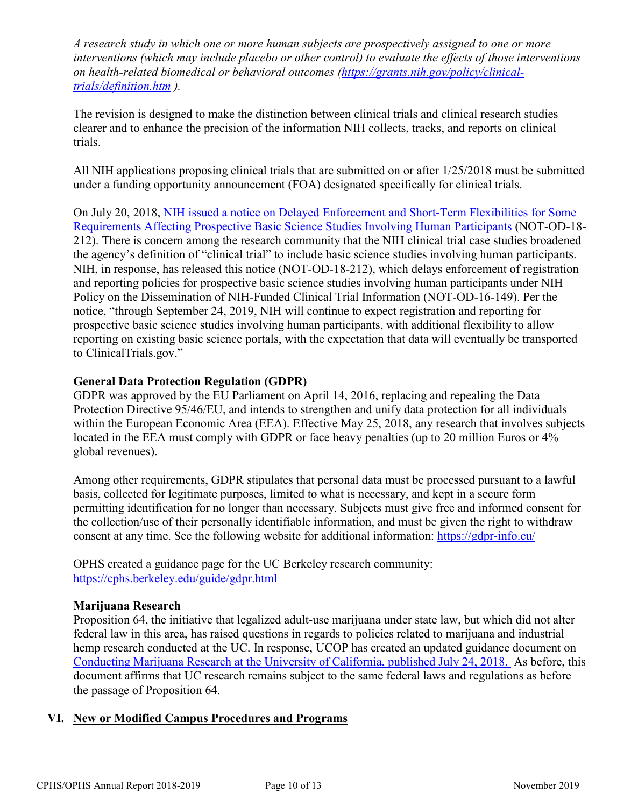*A research study in which one or more human subjects are prospectively assigned to one or more interventions (which may include placebo or other control) to evaluate the effects of those interventions on health-related biomedical or behavioral outcomes [\(https://grants.nih.gov/policy/clinical](https://grants.nih.gov/policy/clinical-trials/definition.htm)[trials/definition.htm](https://grants.nih.gov/policy/clinical-trials/definition.htm) ).*

The revision is designed to make the distinction between clinical trials and clinical research studies clearer and to enhance the precision of the information NIH collects, tracks, and reports on clinical trials.

All NIH applications proposing clinical trials that are submitted on or after 1/25/2018 must be submitted under a funding opportunity announcement (FOA) designated specifically for clinical trials.

On July 20, 2018, [NIH issued a notice on Delayed Enforcement and Short-Term Flexibilities for Some](https://grants.nih.gov/grants/guide/notice-files/NOT-OD-18-212.html)  [Requirements Affecting Prospective Basic Science Studies Involving Human Participants](https://grants.nih.gov/grants/guide/notice-files/NOT-OD-18-212.html) (NOT-OD-18- 212). There is concern among the research community that the NIH clinical trial case studies broadened the agency's definition of "clinical trial" to include basic science studies involving human participants. NIH, in response, has released this notice (NOT-OD-18-212), which delays enforcement of registration and reporting policies for prospective basic science studies involving human participants under NIH Policy on the Dissemination of NIH-Funded Clinical Trial Information (NOT-OD-16-149). Per the notice, "through September 24, 2019, NIH will continue to expect registration and reporting for prospective basic science studies involving human participants, with additional flexibility to allow reporting on existing basic science portals, with the expectation that data will eventually be transported to ClinicalTrials.gov."

#### **General Data Protection Regulation (GDPR)**

GDPR was approved by the EU Parliament on April 14, 2016, replacing and repealing the Data Protection Directive 95/46/EU, and intends to strengthen and unify data protection for all individuals within the European Economic Area (EEA). Effective May 25, 2018, any research that involves subjects located in the EEA must comply with GDPR or face heavy penalties (up to 20 million Euros or 4% global revenues).

Among other requirements, GDPR stipulates that personal data must be processed pursuant to a lawful basis, collected for legitimate purposes, limited to what is necessary, and kept in a secure form permitting identification for no longer than necessary. Subjects must give free and informed consent for the collection/use of their personally identifiable information, and must be given the right to withdraw consent at any time. See the following website for additional information: https://gdpr-info.eu/

OPHS created a guidance page for the UC Berkeley research community: <https://cphs.berkeley.edu/guide/gdpr.html>

#### **Marijuana Research**

Proposition 64, the initiative that legalized adult-use marijuana under state law, but which did not alter federal law in this area, has raised questions in regards to policies related to marijuana and industrial hemp research conducted at the UC. In response, UCOP has created an updated guidance document on Conducting Marijuana Research [at the University of California, published July 24, 2018.](https://researchmemos.ucop.edu/index.php/site/memoDetail/memo_id/RPAC-18-01) As before, this document affirms that UC research remains subject to the same federal laws and regulations as before the passage of Proposition 64.

#### **VI. New or Modified Campus Procedures and Programs**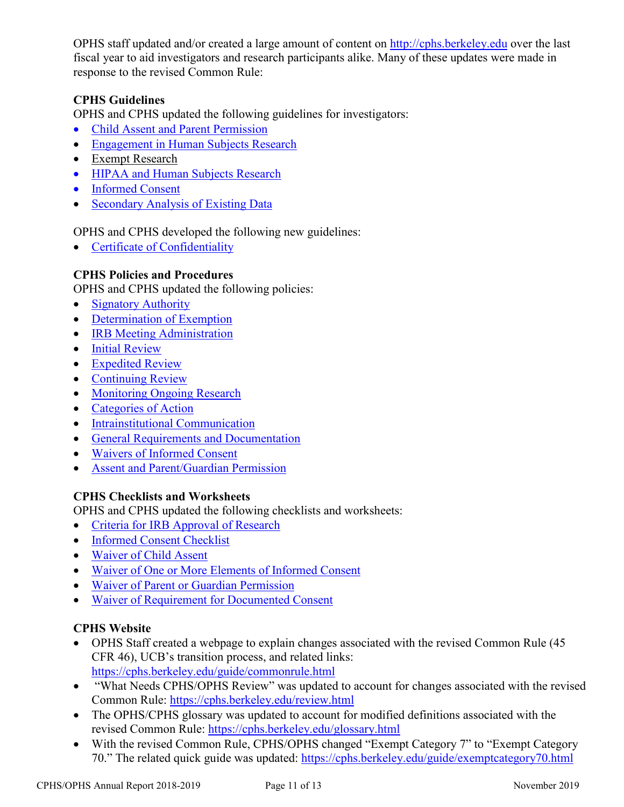OPHS staff updated and/or created a large amount of content on [http://cphs.berkeley.edu](http://cphs.berkeley.edu/) over the last fiscal year to aid investigators and research participants alike. Many of these updates were made in response to the revised Common Rule:

## **CPHS Guidelines**

OPHS and CPHS updated the following guidelines for investigators:

- Child [Assent and Parent Permission](https://cphs.berkeley.edu/assent_permission.pdf)
- Engagement [in Human Subjects Research](https://cphs.berkeley.edu/engagement.pdf)
- [Exempt Research](https://cphs.berkeley.edu/exempt.pdf)
- HIPAA [and Human Subjects Research](https://cphs.berkeley.edu/hipaa.pdf)
- [Informed Consent](https://cphs.berkeley.edu/informedconsent.html)
- Secondary [Analysis of Existing Data](https://cphs.berkeley.edu/secondarydata.pdf)

OPHS and CPHS developed the following new guidelines:

• [Certificate of Confidentiality](https://cphs.berkeley.edu/coc.pdf)

#### **CPHS Policies and Procedures**

OPHS and CPHS updated the following policies:

- [Signatory Authority](https://cphs.berkeley.edu/policies_procedures/2019/ga105.pdf)
- [Determination of Exemption](https://cphs.berkeley.edu/policies_procedures/2019/fo302.pdf)
- **IRB Meeting Administration**
- [Initial Review](https://cphs.berkeley.edu/policies_procedures/rr401.pdf)
- [Expedited Review](https://cphs.berkeley.edu/policies_procedures/2019/rr402.pdf)
- [Continuing Review](https://cphs.berkeley.edu/policies_procedures/2019/rr403.pdf)
- [Monitoring Ongoing Research](https://cphs.berkeley.edu/policies_procedures/2019/rr405.pdf)
- [Categories of Action](https://cphs.berkeley.edu/policies_procedures/2019/rr407.pdf)
- [Intrainstitutional Communication](https://cphs.berkeley.edu/policies_procedures/2019/co602.pdf)
- [General Requirements and Documentation](https://cphs.berkeley.edu/policies_procedures/2019/ic701.pdf)
- [Waivers of Informed Consent](https://cphs.berkeley.edu/policies_procedures/2019/ic702.pdf)
- [Assent and Parent/Guardian Permission](https://cphs.berkeley.edu/policies_procedures/2019/ic703.pdf)

#### **CPHS Checklists and Worksheets**

OPHS and CPHS updated the following checklists and worksheets:

- [Criteria for IRB Approval of Research](https://cphs.berkeley.edu/checklists_worksheets/approval.pdf)
- [Informed Consent Checklist](https://cphs.berkeley.edu/checklists_worksheets/consent.pdf)
- [Waiver of Child Assent](https://cphs.berkeley.edu/checklists_worksheets/waiveassent.pdf)
- [Waiver of One or More Elements of Informed Consent](https://cphs.berkeley.edu/checklists_worksheets/waiveconsent.pdf)
- [Waiver of Parent or Guardian Permission](https://cphs.berkeley.edu/checklists_worksheets/waivepermiss.pdf)
- [Waiver of Requirement for Documented Consent](https://cphs.berkeley.edu/checklists_worksheets/waivedoc.pdf)

#### **CPHS Website**

- OPHS Staff created a webpage to explain changes associated with the revised Common Rule (45 CFR 46), UCB's transition process, and related links: <https://cphs.berkeley.edu/guide/commonrule.html>
- "What Needs CPHS/OPHS Review" was updated to account for changes associated with the revised Common Rule:<https://cphs.berkeley.edu/review.html>
- The OPHS/CPHS glossary was updated to account for modified definitions associated with the revised Common Rule:<https://cphs.berkeley.edu/glossary.html>
- With the revised Common Rule, CPHS/OPHS changed "Exempt Category 7" to "Exempt Category" 70." The related quick guide was updated:<https://cphs.berkeley.edu/guide/exemptcategory70.html>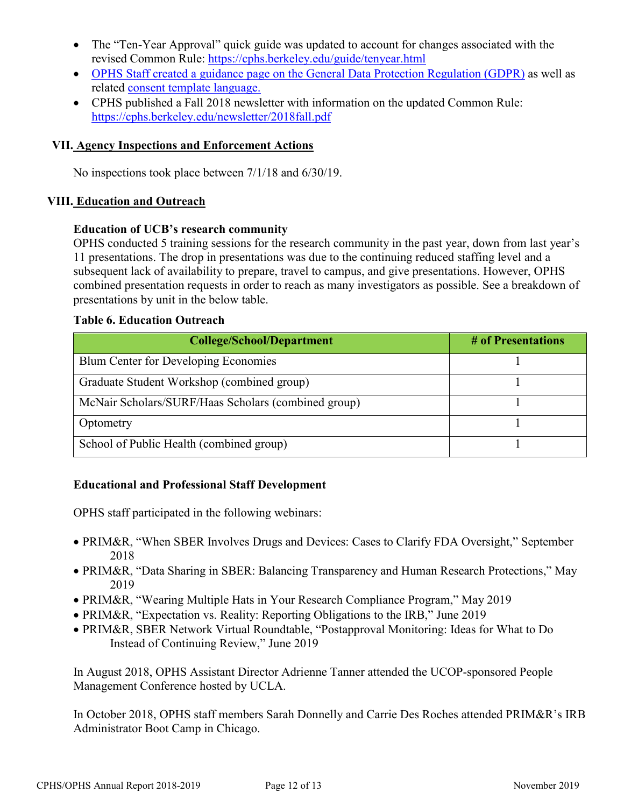- The "Ten-Year Approval" quick guide was updated to account for changes associated with the revised Common Rule:<https://cphs.berkeley.edu/guide/tenyear.html>
- OPHS Staff created a guidance page [on the General Data Protection Regulation \(GDPR\)](https://cphs.berkeley.edu/guide/gdpr.html) as well as related [consent template language.](https://cphs.berkeley.edu/guide/gdpr_consent.docx)
- CPHS published a Fall 2018 newsletter with information on the updated Common Rule: <https://cphs.berkeley.edu/newsletter/2018fall.pdf>

#### **VII. Agency Inspections and Enforcement Actions**

No inspections took place between 7/1/18 and 6/30/19.

#### **VIII. Education and Outreach**

#### **Education of UCB's research community**

OPHS conducted 5 training sessions for the research community in the past year, down from last year's 11 presentations. The drop in presentations was due to the continuing reduced staffing level and a subsequent lack of availability to prepare, travel to campus, and give presentations. However, OPHS combined presentation requests in order to reach as many investigators as possible. See a breakdown of presentations by unit in the below table.

#### **Table 6. Education Outreach**

| <b>College/School/Department</b>                    | # of Presentations |  |  |
|-----------------------------------------------------|--------------------|--|--|
| Blum Center for Developing Economies                |                    |  |  |
| Graduate Student Workshop (combined group)          |                    |  |  |
| McNair Scholars/SURF/Haas Scholars (combined group) |                    |  |  |
| Optometry                                           |                    |  |  |
| School of Public Health (combined group)            |                    |  |  |

#### **Educational and Professional Staff Development**

OPHS staff participated in the following webinars:

- PRIM&R, "When SBER Involves Drugs and Devices: Cases to Clarify FDA Oversight," September 2018
- PRIM&R, "Data Sharing in SBER: Balancing Transparency and Human Research Protections," May 2019
- PRIM&R, "Wearing Multiple Hats in Your Research Compliance Program," May 2019
- PRIM&R, "Expectation vs. Reality: Reporting Obligations to the IRB," June 2019
- PRIM&R, SBER Network Virtual Roundtable, "Postapproval Monitoring: Ideas for What to Do Instead of Continuing Review," June 2019

In August 2018, OPHS Assistant Director Adrienne Tanner attended the UCOP-sponsored People Management Conference hosted by UCLA.

In October 2018, OPHS staff members Sarah Donnelly and Carrie Des Roches attended PRIM&R's IRB Administrator Boot Camp in Chicago.